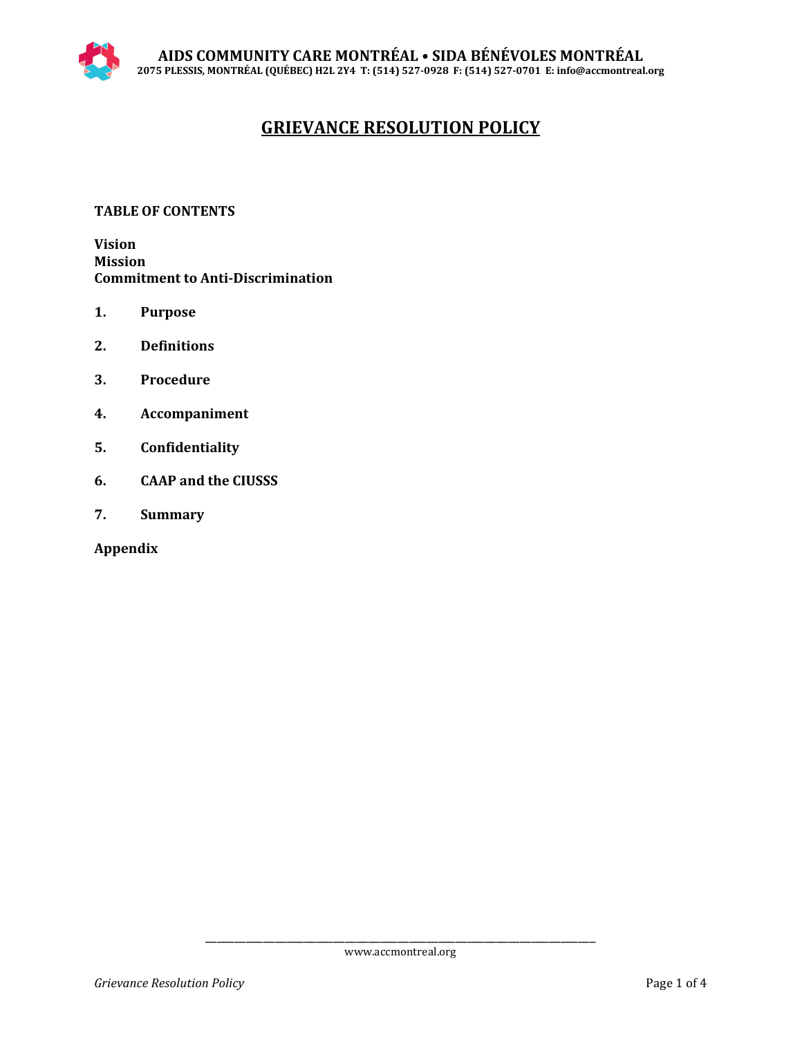# **GRIEVANCE RESOLUTION POLICY**

# **TABLE OF CONTENTS**

**Vision Mission Commitment to Anti-Discrimination**

- **1. Purpose**
- **2. Definitions**
- **3. Procedure**
- **4. Accompaniment**
- **5. Confidentiality**
- **6. CAAP and the CIUSSS**
- **7. Summary**

**Appendix**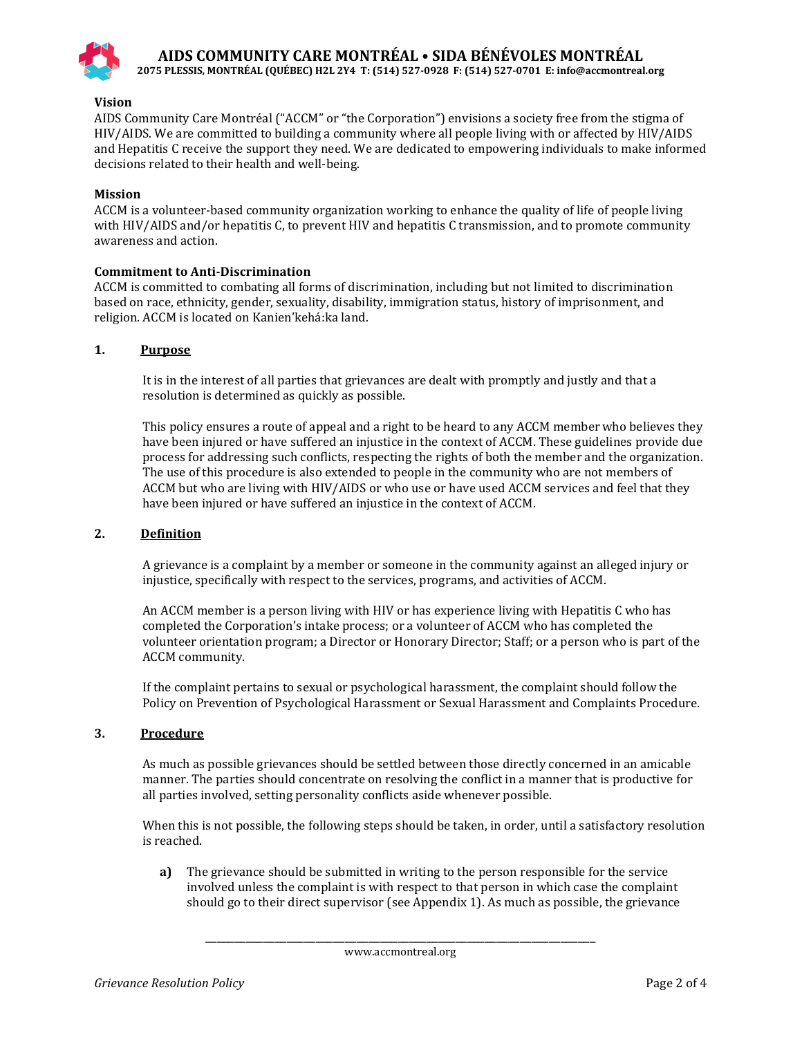

**AIDS COMMUNITY CARE MONTRÉAL • SIDA BÉNÉVOLES MONTRÉAL**

**2075 PLESSIS, MONTRÉAL (QUÉBEC) H2L 2Y4 T: (514) 527-0928 F: (514) 527-0701 E: info@accmontreal.org**

## **Vision**

AIDS Community Care Montréal ("ACCM" or "the Corporation") envisions a society free from the stigma of HIV/AIDS. We are committed to building a community where all people living with or affected by HIV/AIDS and Hepatitis C receive the support they need. We are dedicated to empowering individuals to make informed decisions related to their health and well-being.

## **Mission**

ACCM is a volunteer-based community organization working to enhance the quality of life of people living with HIV/AIDS and/or hepatitis C, to prevent HIV and hepatitis C transmission, and to promote community awareness and action.

#### **Commitment to Anti-Discrimination**

ACCM is committed to combating all forms of discrimination, including but not limited to discrimination based on race, ethnicity, gender, sexuality, disability, immigration status, history of imprisonment, and religion. ACCM is located on Kanien'kehá:ka land.

## **1. Purpose**

It is in the interest of all parties that grievances are dealt with promptly and justly and that a resolution is determined as quickly as possible.

This policy ensures a route of appeal and a right to be heard to any ACCM memberwho believes they have been injured or have suffered an injustice in the context of ACCM. These guidelines provide due process for addressing such conflicts, respecting the rights of both the member and the organization. The use of this procedure is also extended to people in the community who are not members of ACCM but who are living with HIV/AIDS or who use or have used ACCM services and feel that they have been injured or have suffered an injustice in the context of ACCM.

#### **2. Definition**

A grievance is a complaint by a member or someone in the community against an alleged injury or injustice, specifically with respect to the services, programs, and activities of ACCM.

An ACCM member is a person living with HIV or has experience living with Hepatitis C who has completed the Corporation's intake process; or a volunteer of ACCM who has completed the volunteer orientation program; a Director or Honorary Director; Staff; or a person who is part of the ACCM community.

If the complaint pertains to sexual or psychological harassment, the complaint should follow the Policy on Prevention of Psychological Harassment or Sexual Harassment and Complaints Procedure.

## **3. Procedure**

As much as possible grievances should be settled between those directly concerned in an amicable manner. The parties should concentrate on resolving the conflict in a manner that is productive for all parties involved, setting personality conflicts aside whenever possible.

When this is not possible, the following steps should be taken, in order, until a satisfactory resolution is reached.

 **a)** The grievance should be submitted in writing to the person responsible for the service involved unless the complaint is with respect to that person in which case the complaint should go to their direct supervisor (see Appendix 1). As much as possible, the grievance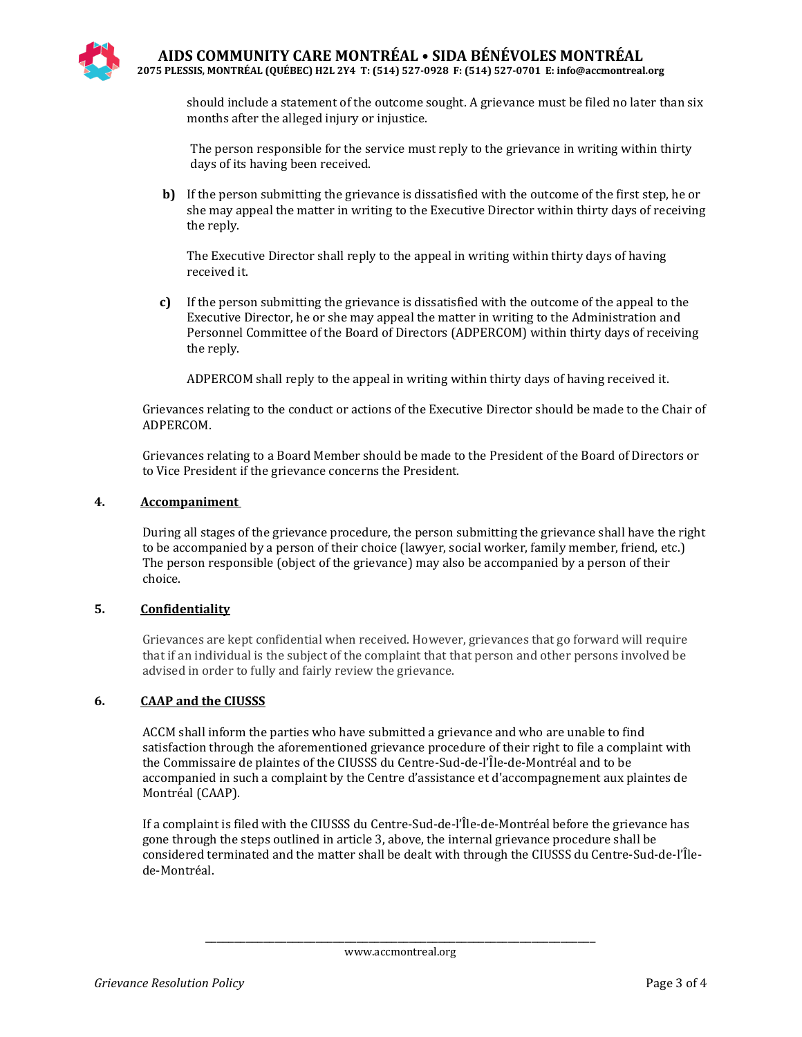should include a statement of the outcome sought. A grievance must be filed no later than six months after the alleged injury or injustice.

The person responsible for the service must reply to the grievance in writing within thirty days of its having been received.

 **b)** If the person submitting the grievance is dissatisfied with the outcome of the first step, he or she may appeal the matter in writing to the Executive Director within thirty days of receiving the reply.

The Executive Director shall reply to the appeal in writing within thirty days of having received it.

 **c)** If the person submitting the grievance is dissatisfied with the outcome of the appeal to the Executive Director, he or she may appeal the matter in writing to the Administration and Personnel Committee of the Board of Directors (ADPERCOM) within thirty days of receiving the reply.

ADPERCOM shall reply to the appeal in writing within thirty days of having received it.

Grievances relating to the conduct or actions of the Executive Director should be made to the Chair of ADPERCOM.

Grievances relating to a Board Member should be made to the President of the Board of Directors or to Vice President if the grievance concerns the President.

## **4. Accompaniment**

During all stages of the grievance procedure, the person submitting the grievance shall have the right to be accompanied by a person of their choice (lawyer, social worker, family member, friend, etc.) The person responsible (object of the grievance) may also be accompanied by a person of their choice.

## **5. Confidentiality**

Grievances are kept confidential when received. However, grievances that go forward will require that if an individual is the subject of the complaint that that person and other persons involved be advised in order to fully and fairly review the grievance.

## **6. CAAP and the CIUSSS**

ACCM shall inform the parties who have submitted a grievance and who are unable to find satisfaction through the aforementioned grievance procedure of their right to file a complaint with the Commissaire de plaintes of the CIUSSS du Centre-Sud-de-l'Île-de-Montréal and to be accompanied in such a complaint by the Centre d'assistance et d'accompagnement aux plaintes de Montréal (CAAP).

If a complaint is filed with the CIUSSS du Centre-Sud-de-l'Île-de-Montréal before the grievance has gone through the steps outlined in article 3, above, the internal grievance procedure shall be considered terminated and the matter shall be dealt with through the CIUSSS du Centre-Sud-de-l'Îlede-Montréal.